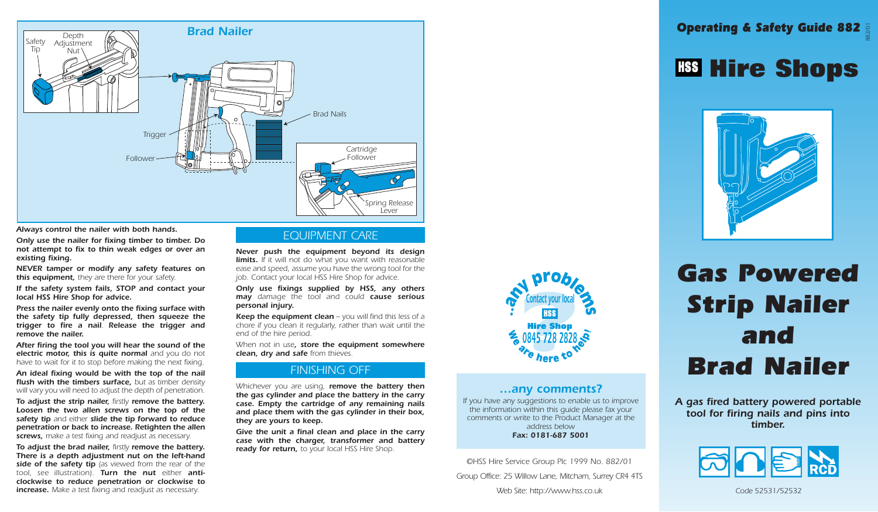

Always control the nailer with both hands.

Only use the nailer for fixing timber to timber. Do not attempt to fix to thin weak edges or over an existing fixing.

NEVER tamper or modify any safety features on this equipment, they are there for your safety.

If the safety system fails, STOP and contact your local HSS Hire Shop for advice.

Press the nailer evenly onto the fixing surface with the safety tip fully depressed, then squeeze the trigger to fire a nail. Release the trigger and remove the nailer.

After firing the tool you will hear the sound of the electric motor, this is quite normal and you do not have to wait for it to stop before making the next fixing.

An ideal fixing would be with the top of the nail flush with the timbers surface, but as timber density will vary you will need to adjust the depth of penetration.

To adjust the strip nailer, firstly remove the battery. Loosen the two allen screws on the top of the safety tip and either slide the tip forward to reduce penetration or back to increase. Retighten the allen screws, make a test fixing and readjust as necessary.

To adjust the brad nailer, firstly remove the battery. There is a depth adjustment nut on the left-hand side of the safety tip (as viewed from the rear of the tool, see illustration). Turn the nut either anticlockwise to reduce penetration or clockwise to increase. Make a test fixing and readjust as necessary.

# EQUIPMENT CARE

Never push the equipment beyond its design **limits.** If it will not do what you want with reasonable ease and speed, assume you have the wrong tool for the job. Contact your local HSS Hire Shop for advice.

Only use fixings supplied by HSS, any others may damage the tool and could cause serious personal injury.

**Keep the equipment clean** – you will find this less of a chore if you clean it regularly, rather than wait until the end of the hire period.

When not in use, store the equipment somewhere clean, dry and safe from thieves.

### FINISHING OFF

Whichever you are using, remove the battery then the gas cylinder and place the battery in the carry case. Empty the cartridge of any remaining nails and place them with the gas cylinder in their box, they are yours to keep.

Give the unit a final clean and place in the carry case with the charger, transformer and battery ready for return, to your local HSS Hire Shop.



### …any comments?

If you have any suggestions to enable us to improve the information within this guide please fax your comments or write to the Product Manager at the address below Fax: 0181-687 5001

©HSS Hire Service Group Plc 1999 No. 882/01 Group Office: 25 Willow Lane, Mitcham, Surrey CR4 4TS Web Site: http://www.hss.co.uk

# Operating & Safety Guide 882

882/01

# **Hire Shops**





A gas fired battery powered portable tool for firing nails and pins into timber.



Code 52531/52532